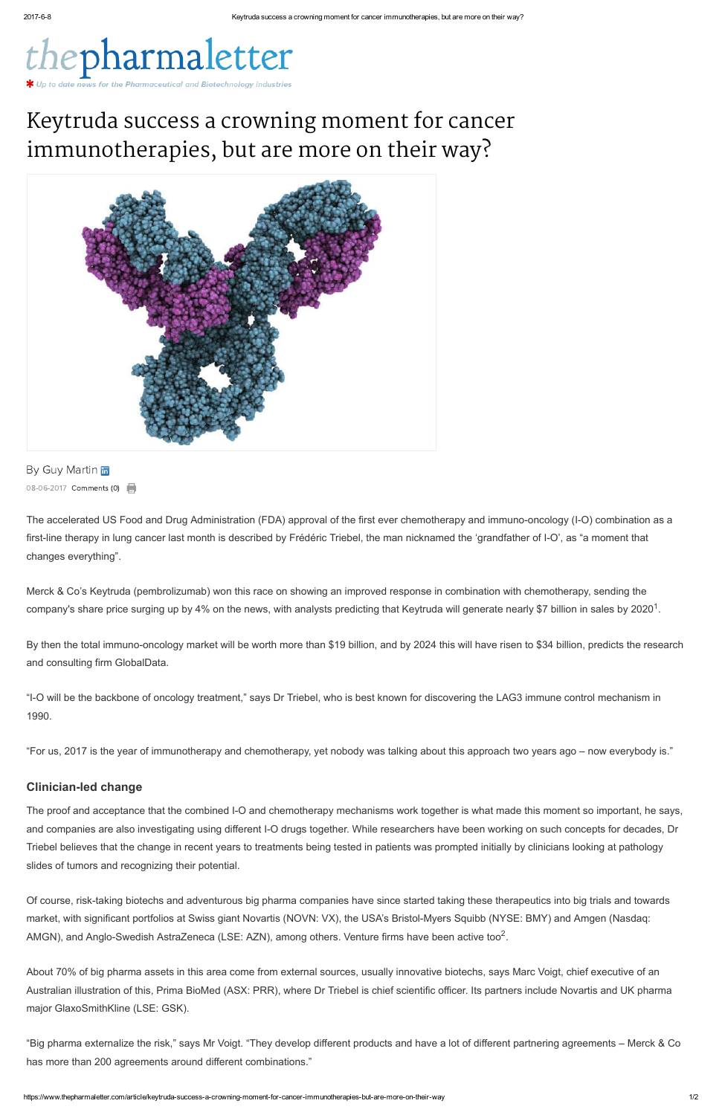

# Keytruda success a crowning moment for cancer immunotherapies, but are more on their way?



By Guy [Martin](https://www.thepharmaletter.com/author/guy-martin) in 08-06-2017 Comments (0)

The accelerated US Food and Drug Administration (FDA) approval of the first ever chemotherapy and immuno-oncology (I-O) combination as a first-line therapy in lung cancer last month is described by Frédéric Triebel, the man nicknamed the 'grandfather of I-O', as "a moment that changes everything".

Merck & Co's Keytruda (pembrolizumab) won this race on showing an improved response in combination with chemotherapy, sending the company's share price surging up by 4% on the news, with analysts predicting that Keytruda will generate nearly \$7 billion in sales by 2020<sup>1</sup>.

By then the total immuno-oncology market will be worth more than \$19 billion, and by 2024 this will have risen to \$34 billion, [predicts](https://www.thepharmaletter.com/article/multi-blockbuster-drugs-will-drive-immuno-oncology-market-to-34-billion-by-2024-report) the research and consulting firm GlobalData.

and companies are also investigating using different I-O drugs together. While researchers have been working on such concepts for decades, Dr Triebel believes that the change in recent years to treatments being tested in patients was prompted initially by clinicians looking at pathology slides of tumors and recognizing their potential.

Of course, risk-taking biotechs and adventurous big pharma companies have since started taking these therapeutics into big trials and towards market, with significant portfolios at Swiss giant Novartis (NOVN: VX), the USA's Bristol-Myers Squibb (NYSE: BMY) and Amgen (Nasdaq: AMGN), and Anglo-Swedish AstraZeneca (LSE: AZN), among others. Venture firms have been active too<sup>2</sup>.

"IO will be the backbone of oncology treatment," says Dr Triebel, who is best known for discovering the LAG3 immune control mechanism in 1990.

"For us, 2017 is the year of immunotherapy and chemotherapy, yet nobody was talking about this approach two years ago – now everybody is."

# **Clinician-led change**

The proof and acceptance that the combined I-O and chemotherapy mechanisms work together is what made this moment so important, he says,

About 70% of big pharma assets in this area come from external sources, usually innovative biotechs, says Marc Voigt, chief executive of an Australian illustration of this, Prima BioMed (ASX: PRR), where Dr Triebel is chief scientific officer. Its partners include Novartis and UK pharma major GlaxoSmithKline (LSE: GSK).

"Big pharma externalize the risk," says Mr Voigt. "They develop different products and have a lot of different partnering agreements – Merck & Co has more than 200 agreements around different combinations."